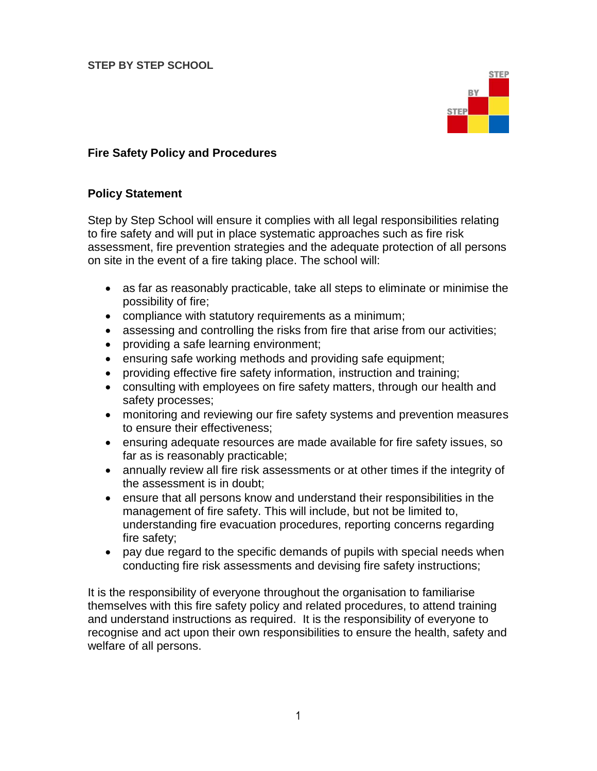

## **Fire Safety Policy and Procedures**

#### **Policy Statement**

Step by Step School will ensure it complies with all legal responsibilities relating to fire safety and will put in place systematic approaches such as fire risk assessment, fire prevention strategies and the adequate protection of all persons on site in the event of a fire taking place. The school will:

- as far as reasonably practicable, take all steps to eliminate or minimise the possibility of fire;
- compliance with statutory requirements as a minimum;
- assessing and controlling the risks from fire that arise from our activities;
- providing a safe learning environment;
- ensuring safe working methods and providing safe equipment;
- providing effective fire safety information, instruction and training;
- consulting with employees on fire safety matters, through our health and safety processes;
- monitoring and reviewing our fire safety systems and prevention measures to ensure their effectiveness;
- ensuring adequate resources are made available for fire safety issues, so far as is reasonably practicable;
- annually review all fire risk assessments or at other times if the integrity of the assessment is in doubt;
- ensure that all persons know and understand their responsibilities in the management of fire safety. This will include, but not be limited to, understanding fire evacuation procedures, reporting concerns regarding fire safety;
- pay due regard to the specific demands of pupils with special needs when conducting fire risk assessments and devising fire safety instructions;

It is the responsibility of everyone throughout the organisation to familiarise themselves with this fire safety policy and related procedures, to attend training and understand instructions as required. It is the responsibility of everyone to recognise and act upon their own responsibilities to ensure the health, safety and welfare of all persons.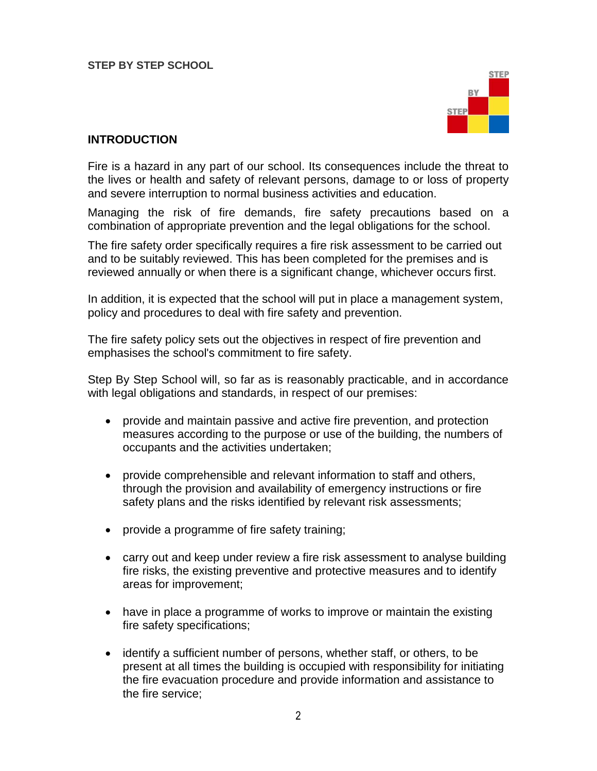

#### **INTRODUCTION**

Fire is a hazard in any part of our school. Its consequences include the threat to the lives or health and safety of relevant persons, damage to or loss of property and severe interruption to normal business activities and education.

Managing the risk of fire demands, fire safety precautions based on a combination of appropriate prevention and the legal obligations for the school.

The fire safety order specifically requires a fire risk assessment to be carried out and to be suitably reviewed. This has been completed for the premises and is reviewed annually or when there is a significant change, whichever occurs first.

In addition, it is expected that the school will put in place a management system, policy and procedures to deal with fire safety and prevention.

The fire safety policy sets out the objectives in respect of fire prevention and emphasises the school's commitment to fire safety.

Step By Step School will, so far as is reasonably practicable, and in accordance with legal obligations and standards, in respect of our premises:

- provide and maintain passive and active fire prevention, and protection measures according to the purpose or use of the building, the numbers of occupants and the activities undertaken;
- provide comprehensible and relevant information to staff and others, through the provision and availability of emergency instructions or fire safety plans and the risks identified by relevant risk assessments;
- provide a programme of fire safety training;
- carry out and keep under review a fire risk assessment to analyse building fire risks, the existing preventive and protective measures and to identify areas for improvement;
- have in place a programme of works to improve or maintain the existing fire safety specifications;
- identify a sufficient number of persons, whether staff, or others, to be present at all times the building is occupied with responsibility for initiating the fire evacuation procedure and provide information and assistance to the fire service;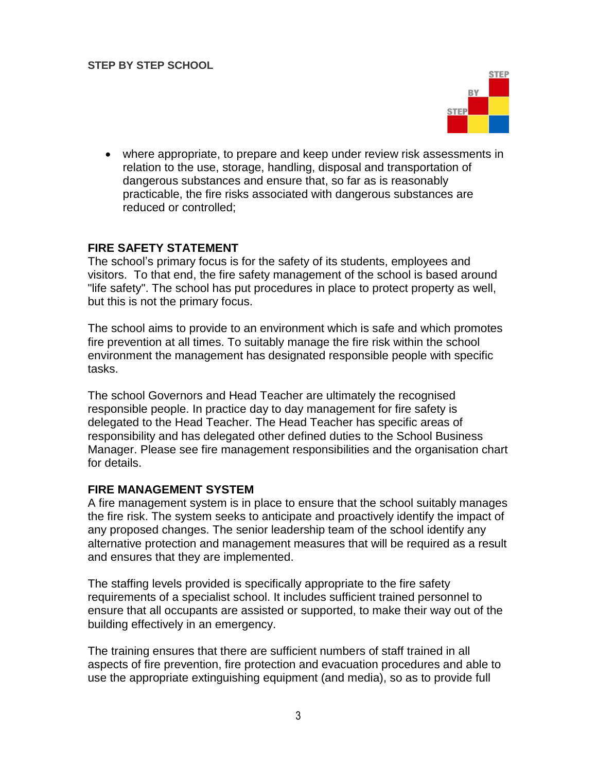

 where appropriate, to prepare and keep under review risk assessments in relation to the use, storage, handling, disposal and transportation of dangerous substances and ensure that, so far as is reasonably practicable, the fire risks associated with dangerous substances are reduced or controlled;

## **FIRE SAFETY STATEMENT**

The school's primary focus is for the safety of its students, employees and visitors. To that end, the fire safety management of the school is based around "life safety". The school has put procedures in place to protect property as well, but this is not the primary focus.

The school aims to provide to an environment which is safe and which promotes fire prevention at all times. To suitably manage the fire risk within the school environment the management has designated responsible people with specific tasks.

The school Governors and Head Teacher are ultimately the recognised responsible people. In practice day to day management for fire safety is delegated to the Head Teacher. The Head Teacher has specific areas of responsibility and has delegated other defined duties to the School Business Manager. Please see fire management responsibilities and the organisation chart for details.

## **FIRE MANAGEMENT SYSTEM**

A fire management system is in place to ensure that the school suitably manages the fire risk. The system seeks to anticipate and proactively identify the impact of any proposed changes. The senior leadership team of the school identify any alternative protection and management measures that will be required as a result and ensures that they are implemented.

The staffing levels provided is specifically appropriate to the fire safety requirements of a specialist school. It includes sufficient trained personnel to ensure that all occupants are assisted or supported, to make their way out of the building effectively in an emergency.

The training ensures that there are sufficient numbers of staff trained in all aspects of fire prevention, fire protection and evacuation procedures and able to use the appropriate extinguishing equipment (and media), so as to provide full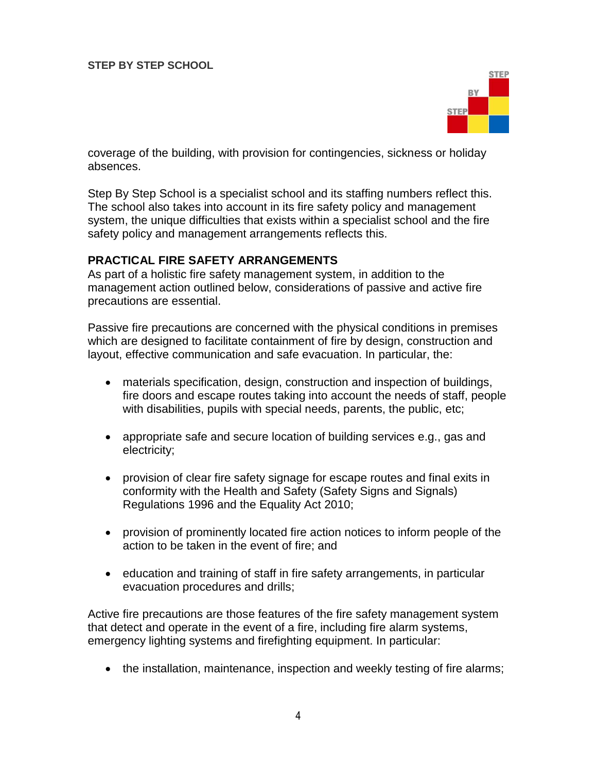

coverage of the building, with provision for contingencies, sickness or holiday absences.

Step By Step School is a specialist school and its staffing numbers reflect this. The school also takes into account in its fire safety policy and management system, the unique difficulties that exists within a specialist school and the fire safety policy and management arrangements reflects this.

#### **PRACTICAL FIRE SAFETY ARRANGEMENTS**

As part of a holistic fire safety management system, in addition to the management action outlined below, considerations of passive and active fire precautions are essential.

Passive fire precautions are concerned with the physical conditions in premises which are designed to facilitate containment of fire by design, construction and layout, effective communication and safe evacuation. In particular, the:

- materials specification, design, construction and inspection of buildings, fire doors and escape routes taking into account the needs of staff, people with disabilities, pupils with special needs, parents, the public, etc;
- appropriate safe and secure location of building services e.g., gas and electricity;
- provision of clear fire safety signage for escape routes and final exits in conformity with the Health and Safety (Safety Signs and Signals) Regulations 1996 and the Equality Act 2010;
- provision of prominently located fire action notices to inform people of the action to be taken in the event of fire; and
- education and training of staff in fire safety arrangements, in particular evacuation procedures and drills;

Active fire precautions are those features of the fire safety management system that detect and operate in the event of a fire, including fire alarm systems, emergency lighting systems and firefighting equipment. In particular:

• the installation, maintenance, inspection and weekly testing of fire alarms;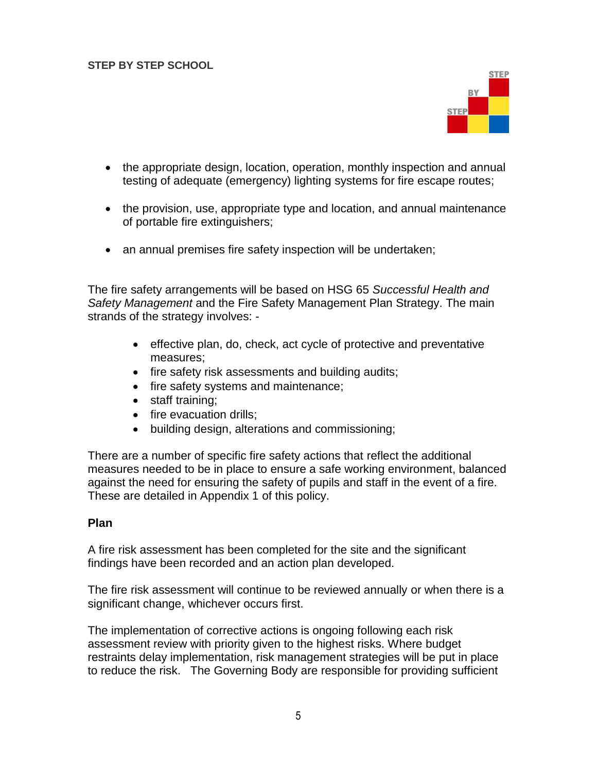

- the appropriate design, location, operation, monthly inspection and annual testing of adequate (emergency) lighting systems for fire escape routes;
- the provision, use, appropriate type and location, and annual maintenance of portable fire extinguishers;
- an annual premises fire safety inspection will be undertaken;

The fire safety arrangements will be based on HSG 65 *Successful Health and Safety Management* and the Fire Safety Management Plan Strategy. The main strands of the strategy involves: -

- effective plan, do, check, act cycle of protective and preventative measures;
- fire safety risk assessments and building audits;
- fire safety systems and maintenance;
- staff training:
- fire evacuation drills:
- building design, alterations and commissioning;

There are a number of specific fire safety actions that reflect the additional measures needed to be in place to ensure a safe working environment, balanced against the need for ensuring the safety of pupils and staff in the event of a fire. These are detailed in Appendix 1 of this policy.

#### **Plan**

A fire risk assessment has been completed for the site and the significant findings have been recorded and an action plan developed.

The fire risk assessment will continue to be reviewed annually or when there is a significant change, whichever occurs first.

The implementation of corrective actions is ongoing following each risk assessment review with priority given to the highest risks. Where budget restraints delay implementation, risk management strategies will be put in place to reduce the risk. The Governing Body are responsible for providing sufficient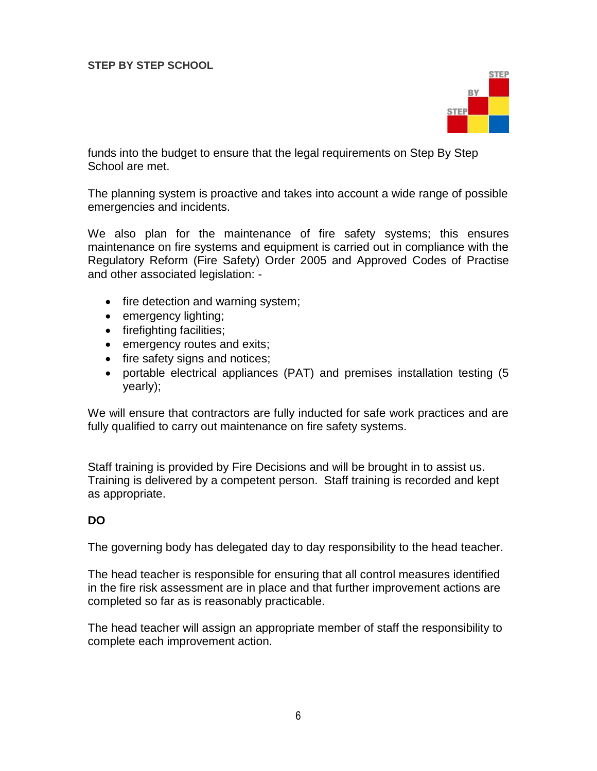

funds into the budget to ensure that the legal requirements on Step By Step School are met.

The planning system is proactive and takes into account a wide range of possible emergencies and incidents.

We also plan for the maintenance of fire safety systems; this ensures maintenance on fire systems and equipment is carried out in compliance with the Regulatory Reform (Fire Safety) Order 2005 and Approved Codes of Practise and other associated legislation: -

- $\bullet$  fire detection and warning system;
- emergency lighting;
- firefighting facilities;
- emergency routes and exits;
- fire safety signs and notices;
- portable electrical appliances (PAT) and premises installation testing (5 yearly);

We will ensure that contractors are fully inducted for safe work practices and are fully qualified to carry out maintenance on fire safety systems.

Staff training is provided by Fire Decisions and will be brought in to assist us. Training is delivered by a competent person. Staff training is recorded and kept as appropriate.

## **DO**

The governing body has delegated day to day responsibility to the head teacher.

The head teacher is responsible for ensuring that all control measures identified in the fire risk assessment are in place and that further improvement actions are completed so far as is reasonably practicable.

The head teacher will assign an appropriate member of staff the responsibility to complete each improvement action.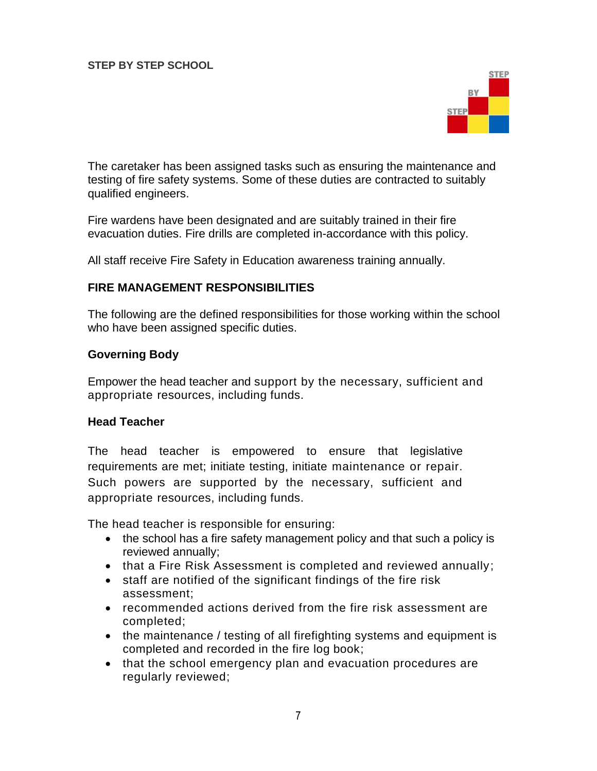

The caretaker has been assigned tasks such as ensuring the maintenance and testing of fire safety systems. Some of these duties are contracted to suitably qualified engineers.

Fire wardens have been designated and are suitably trained in their fire evacuation duties. Fire drills are completed in-accordance with this policy.

All staff receive Fire Safety in Education awareness training annually.

## **FIRE MANAGEMENT RESPONSIBILITIES**

The following are the defined responsibilities for those working within the school who have been assigned specific duties.

#### **Governing Body**

Empower the head teacher and support by the necessary, sufficient and appropriate resources, including funds.

#### **Head Teacher**

The head teacher is empowered to ensure that legislative requirements are met; initiate testing, initiate maintenance or repair. Such powers are supported by the necessary, sufficient and appropriate resources, including funds.

The head teacher is responsible for ensuring:

- the school has a fire safety management policy and that such a policy is reviewed annually;
- that a Fire Risk Assessment is completed and reviewed annually;
- staff are notified of the significant findings of the fire risk assessment;
- recommended actions derived from the fire risk assessment are completed;
- the maintenance / testing of all firefighting systems and equipment is completed and recorded in the fire log book;
- that the school emergency plan and evacuation procedures are regularly reviewed;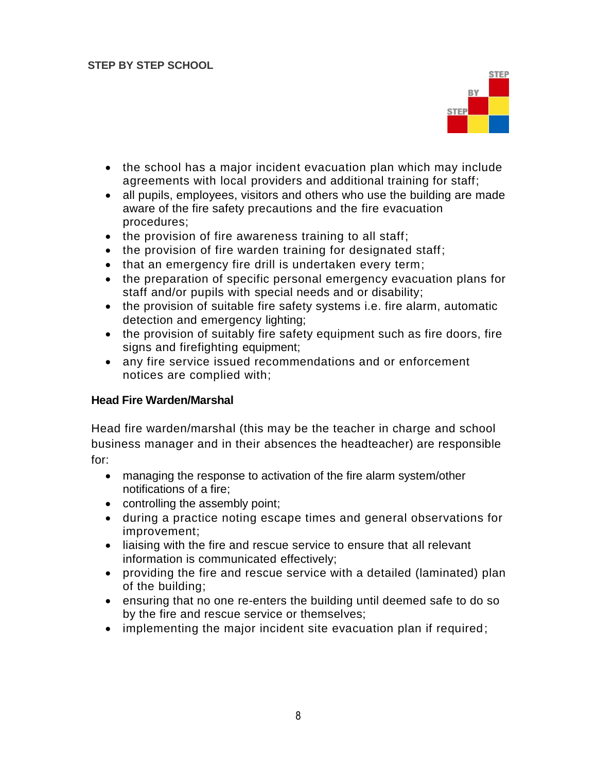

- the school has a major incident evacuation plan which may include agreements with local providers and additional training for staff;
- all pupils, employees, visitors and others who use the building are made aware of the fire safety precautions and the fire evacuation procedures;
- $\bullet$  the provision of fire awareness training to all staff;
- the provision of fire warden training for designated staff;
- that an emergency fire drill is undertaken every term;
- the preparation of specific personal emergency evacuation plans for staff and/or pupils with special needs and or disability;
- the provision of suitable fire safety systems i.e. fire alarm, automatic detection and emergency lighting;
- the provision of suitably fire safety equipment such as fire doors, fire signs and firefighting equipment;
- any fire service issued recommendations and or enforcement notices are complied with;

## **Head Fire Warden/Marshal**

Head fire warden/marshal (this may be the teacher in charge and school business manager and in their absences the headteacher) are responsible for:

- managing the response to activation of the fire alarm system/other notifications of a fire;
- controlling the assembly point;
- during a practice noting escape times and general observations for improvement;
- liaising with the fire and rescue service to ensure that all relevant information is communicated effectively;
- providing the fire and rescue service with a detailed (laminated) plan of the building;
- ensuring that no one re-enters the building until deemed safe to do so by the fire and rescue service or themselves;
- implementing the major incident site evacuation plan if required;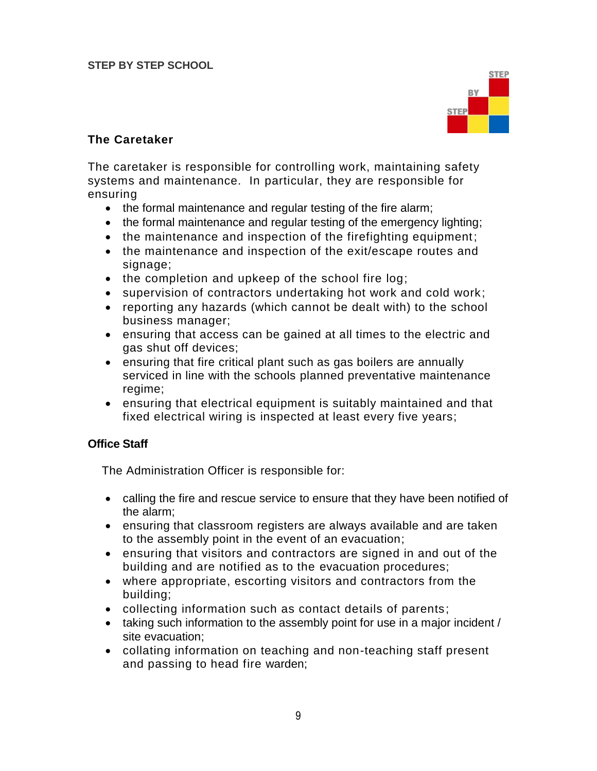

# **The Caretaker**

The caretaker is responsible for controlling work, maintaining safety systems and maintenance. In particular, they are responsible for ensuring

- the formal maintenance and regular testing of the fire alarm;
- the formal maintenance and regular testing of the emergency lighting;
- the maintenance and inspection of the firefighting equipment;
- the maintenance and inspection of the exit/escape routes and signage;
- the completion and upkeep of the school fire log;
- supervision of contractors undertaking hot work and cold work;
- reporting any hazards (which cannot be dealt with) to the school business manager;
- ensuring that access can be gained at all times to the electric and gas shut off devices;
- ensuring that fire critical plant such as gas boilers are annually serviced in line with the schools planned preventative maintenance regime;
- ensuring that electrical equipment is suitably maintained and that fixed electrical wiring is inspected at least every five years;

## **Office Staff**

The Administration Officer is responsible for:

- calling the fire and rescue service to ensure that they have been notified of the alarm;
- ensuring that classroom registers are always available and are taken to the assembly point in the event of an evacuation;
- ensuring that visitors and contractors are signed in and out of the building and are notified as to the evacuation procedures;
- where appropriate, escorting visitors and contractors from the building;
- collecting information such as contact details of parents;
- taking such information to the assembly point for use in a major incident / site evacuation;
- collating information on teaching and non-teaching staff present and passing to head fire warden;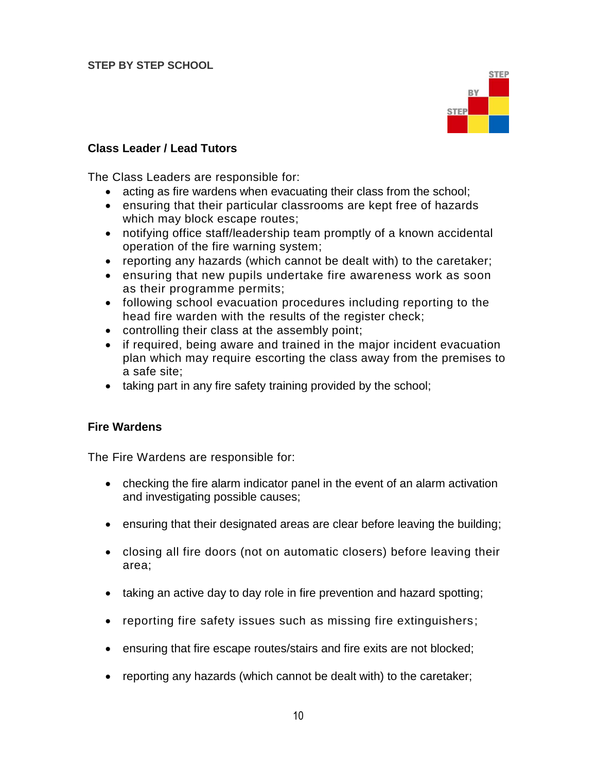

#### **Class Leader / Lead Tutors**

The Class Leaders are responsible for:

- acting as fire wardens when evacuating their class from the school;
- ensuring that their particular classrooms are kept free of hazards which may block escape routes;
- notifying office staff/leadership team promptly of a known accidental operation of the fire warning system;
- reporting any hazards (which cannot be dealt with) to the caretaker;
- ensuring that new pupils undertake fire awareness work as soon as their programme permits;
- following school evacuation procedures including reporting to the head fire warden with the results of the register check;
- controlling their class at the assembly point;
- if required, being aware and trained in the major incident evacuation plan which may require escorting the class away from the premises to a safe site;
- taking part in any fire safety training provided by the school;

#### **Fire Wardens**

The Fire Wardens are responsible for:

- checking the fire alarm indicator panel in the event of an alarm activation and investigating possible causes;
- ensuring that their designated areas are clear before leaving the building;
- closing all fire doors (not on automatic closers) before leaving their area;
- taking an active day to day role in fire prevention and hazard spotting;
- reporting fire safety issues such as missing fire extinguishers;
- ensuring that fire escape routes/stairs and fire exits are not blocked;
- reporting any hazards (which cannot be dealt with) to the caretaker;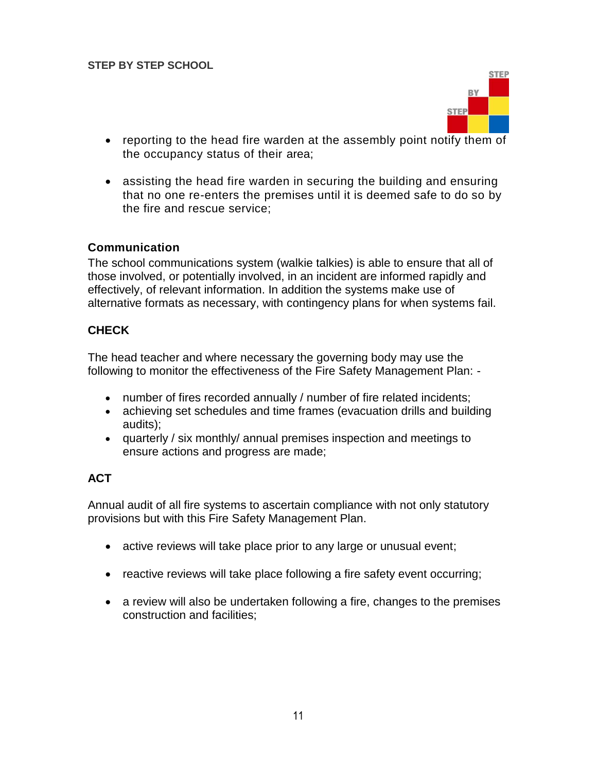

- reporting to the head fire warden at the assembly point notify them of the occupancy status of their area;
- assisting the head fire warden in securing the building and ensuring that no one re-enters the premises until it is deemed safe to do so by the fire and rescue service;

## **Communication**

The school communications system (walkie talkies) is able to ensure that all of those involved, or potentially involved, in an incident are informed rapidly and effectively, of relevant information. In addition the systems make use of alternative formats as necessary, with contingency plans for when systems fail.

## **CHECK**

The head teacher and where necessary the governing body may use the following to monitor the effectiveness of the Fire Safety Management Plan: -

- number of fires recorded annually / number of fire related incidents;
- achieving set schedules and time frames (evacuation drills and building audits);
- quarterly / six monthly/ annual premises inspection and meetings to ensure actions and progress are made;

## **ACT**

Annual audit of all fire systems to ascertain compliance with not only statutory provisions but with this Fire Safety Management Plan.

- active reviews will take place prior to any large or unusual event;
- reactive reviews will take place following a fire safety event occurring;
- a review will also be undertaken following a fire, changes to the premises construction and facilities;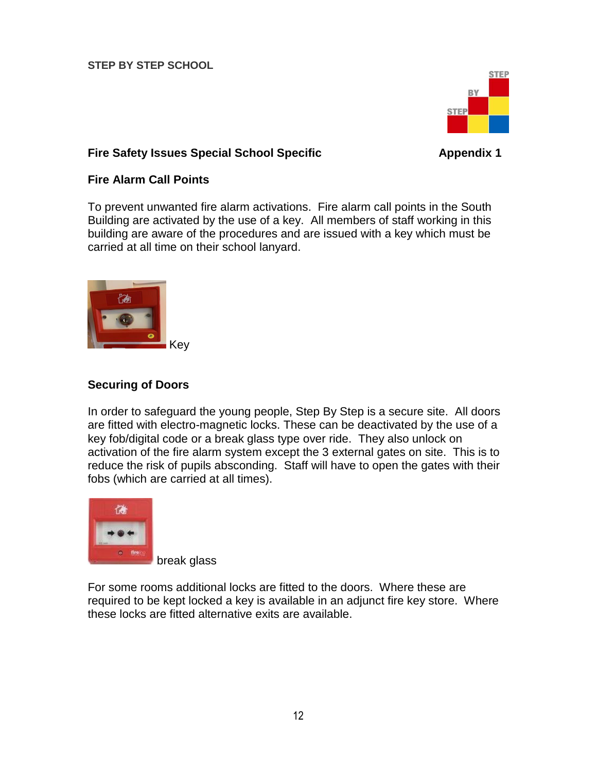

## **Fire Safety Issues Special School Specific <b>Appendix 1** Appendix 1

## **Fire Alarm Call Points**

To prevent unwanted fire alarm activations. Fire alarm call points in the South Building are activated by the use of a key. All members of staff working in this building are aware of the procedures and are issued with a key which must be carried at all time on their school lanyard.



## **Securing of Doors**

In order to safeguard the young people, Step By Step is a secure site. All doors are fitted with electro-magnetic locks. These can be deactivated by the use of a key fob/digital code or a break glass type over ride. They also unlock on activation of the fire alarm system except the 3 external gates on site. This is to reduce the risk of pupils absconding. Staff will have to open the gates with their fobs (which are carried at all times).



break glass

For some rooms additional locks are fitted to the doors. Where these are required to be kept locked a key is available in an adjunct fire key store. Where these locks are fitted alternative exits are available.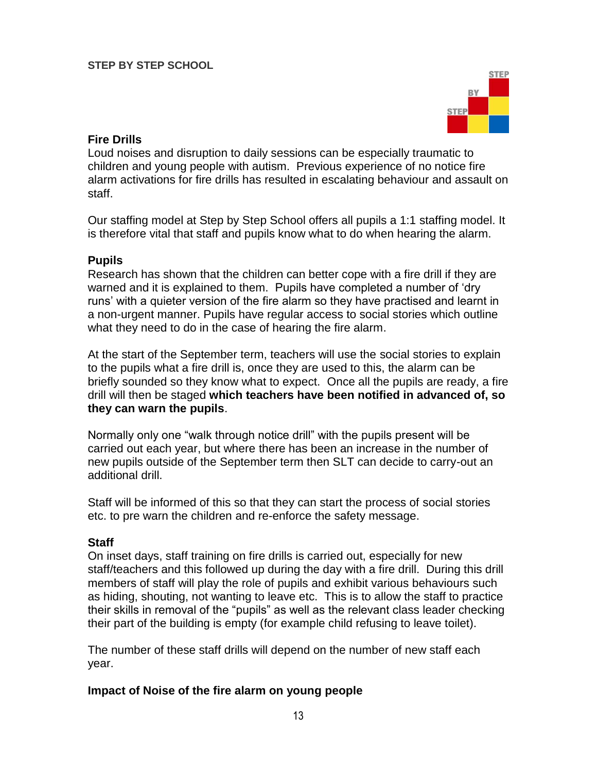

## **Fire Drills**

Loud noises and disruption to daily sessions can be especially traumatic to children and young people with autism. Previous experience of no notice fire alarm activations for fire drills has resulted in escalating behaviour and assault on staff.

Our staffing model at Step by Step School offers all pupils a 1:1 staffing model. It is therefore vital that staff and pupils know what to do when hearing the alarm.

## **Pupils**

Research has shown that the children can better cope with a fire drill if they are warned and it is explained to them. Pupils have completed a number of 'dry runs' with a quieter version of the fire alarm so they have practised and learnt in a non-urgent manner. Pupils have regular access to social stories which outline what they need to do in the case of hearing the fire alarm.

At the start of the September term, teachers will use the social stories to explain to the pupils what a fire drill is, once they are used to this, the alarm can be briefly sounded so they know what to expect. Once all the pupils are ready, a fire drill will then be staged **which teachers have been notified in advanced of, so they can warn the pupils**.

Normally only one "walk through notice drill" with the pupils present will be carried out each year, but where there has been an increase in the number of new pupils outside of the September term then SLT can decide to carry-out an additional drill.

Staff will be informed of this so that they can start the process of social stories etc. to pre warn the children and re-enforce the safety message.

## **Staff**

On inset days, staff training on fire drills is carried out, especially for new staff/teachers and this followed up during the day with a fire drill. During this drill members of staff will play the role of pupils and exhibit various behaviours such as hiding, shouting, not wanting to leave etc. This is to allow the staff to practice their skills in removal of the "pupils" as well as the relevant class leader checking their part of the building is empty (for example child refusing to leave toilet).

The number of these staff drills will depend on the number of new staff each year.

## **Impact of Noise of the fire alarm on young people**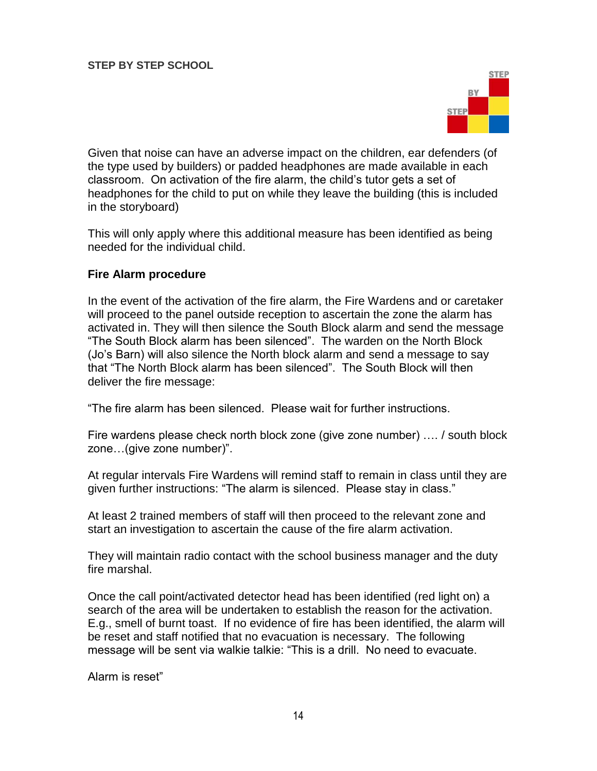

Given that noise can have an adverse impact on the children, ear defenders (of the type used by builders) or padded headphones are made available in each classroom. On activation of the fire alarm, the child's tutor gets a set of headphones for the child to put on while they leave the building (this is included in the storyboard)

This will only apply where this additional measure has been identified as being needed for the individual child.

#### **Fire Alarm procedure**

In the event of the activation of the fire alarm, the Fire Wardens and or caretaker will proceed to the panel outside reception to ascertain the zone the alarm has activated in. They will then silence the South Block alarm and send the message "The South Block alarm has been silenced". The warden on the North Block (Jo's Barn) will also silence the North block alarm and send a message to say that "The North Block alarm has been silenced". The South Block will then deliver the fire message:

"The fire alarm has been silenced. Please wait for further instructions.

Fire wardens please check north block zone (give zone number) …. / south block zone…(give zone number)".

At regular intervals Fire Wardens will remind staff to remain in class until they are given further instructions: "The alarm is silenced. Please stay in class."

At least 2 trained members of staff will then proceed to the relevant zone and start an investigation to ascertain the cause of the fire alarm activation.

They will maintain radio contact with the school business manager and the duty fire marshal.

Once the call point/activated detector head has been identified (red light on) a search of the area will be undertaken to establish the reason for the activation. E.g., smell of burnt toast. If no evidence of fire has been identified, the alarm will be reset and staff notified that no evacuation is necessary. The following message will be sent via walkie talkie: "This is a drill. No need to evacuate.

Alarm is reset"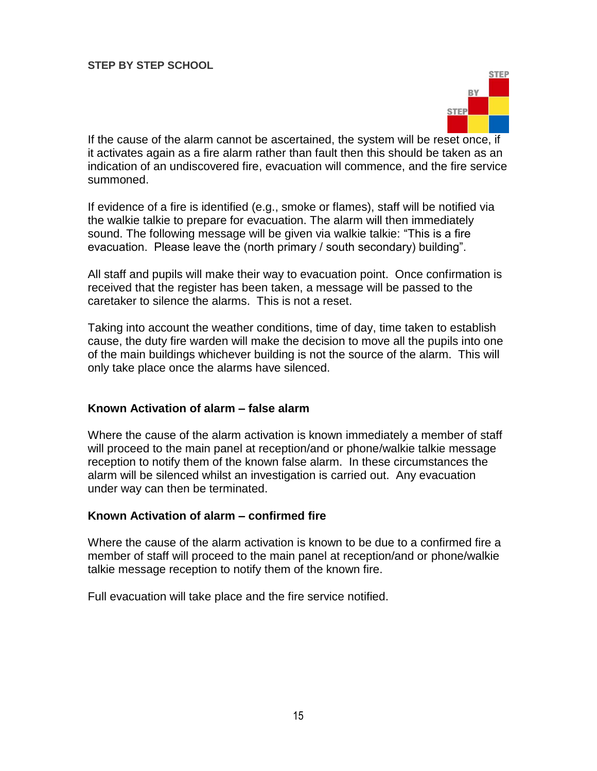

If the cause of the alarm cannot be ascertained, the system will be reset once, if it activates again as a fire alarm rather than fault then this should be taken as an indication of an undiscovered fire, evacuation will commence, and the fire service summoned.

If evidence of a fire is identified (e.g., smoke or flames), staff will be notified via the walkie talkie to prepare for evacuation. The alarm will then immediately sound. The following message will be given via walkie talkie: "This is a fire evacuation. Please leave the (north primary / south secondary) building".

All staff and pupils will make their way to evacuation point. Once confirmation is received that the register has been taken, a message will be passed to the caretaker to silence the alarms. This is not a reset.

Taking into account the weather conditions, time of day, time taken to establish cause, the duty fire warden will make the decision to move all the pupils into one of the main buildings whichever building is not the source of the alarm. This will only take place once the alarms have silenced.

## **Known Activation of alarm – false alarm**

Where the cause of the alarm activation is known immediately a member of staff will proceed to the main panel at reception/and or phone/walkie talkie message reception to notify them of the known false alarm. In these circumstances the alarm will be silenced whilst an investigation is carried out. Any evacuation under way can then be terminated.

## **Known Activation of alarm – confirmed fire**

Where the cause of the alarm activation is known to be due to a confirmed fire a member of staff will proceed to the main panel at reception/and or phone/walkie talkie message reception to notify them of the known fire.

Full evacuation will take place and the fire service notified.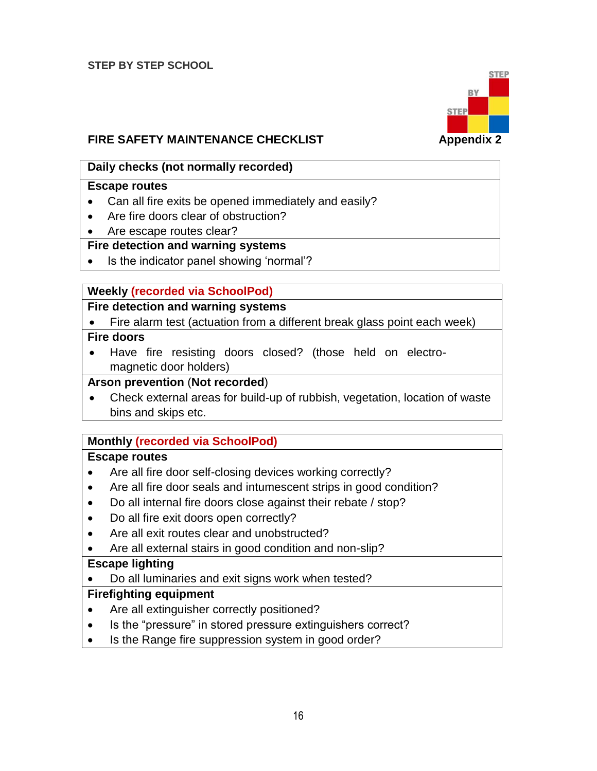

# **FIRE SAFETY MAINTENANCE CHECKLIST FIRE SAFETY MAINTENANCE CHECKLIST**

## **Daily checks (not normally recorded)**

#### **Escape routes**

- Can all fire exits be opened immediately and easily?
- Are fire doors clear of obstruction?
- Are escape routes clear?

## **Fire detection and warning systems**

• Is the indicator panel showing 'normal'?

## **Weekly (recorded via SchoolPod)**

## **Fire detection and warning systems**

Fire alarm test (actuation from a different break glass point each week)

## **Fire doors**

 Have fire resisting doors closed? (those held on electromagnetic door holders)

#### **Arson prevention** (**Not recorded**)

 Check external areas for build-up of rubbish, vegetation, location of waste bins and skips etc.

## **Monthly (recorded via SchoolPod)**

## **Escape routes**

- Are all fire door self-closing devices working correctly?
- Are all fire door seals and intumescent strips in good condition?
- Do all internal fire doors close against their rebate / stop?
- Do all fire exit doors open correctly?
- Are all exit routes clear and unobstructed?
- Are all external stairs in good condition and non-slip?

## **Escape lighting**

Do all luminaries and exit signs work when tested?

## **Firefighting equipment**

- Are all extinguisher correctly positioned?
- Is the "pressure" in stored pressure extinguishers correct?
- Is the Range fire suppression system in good order?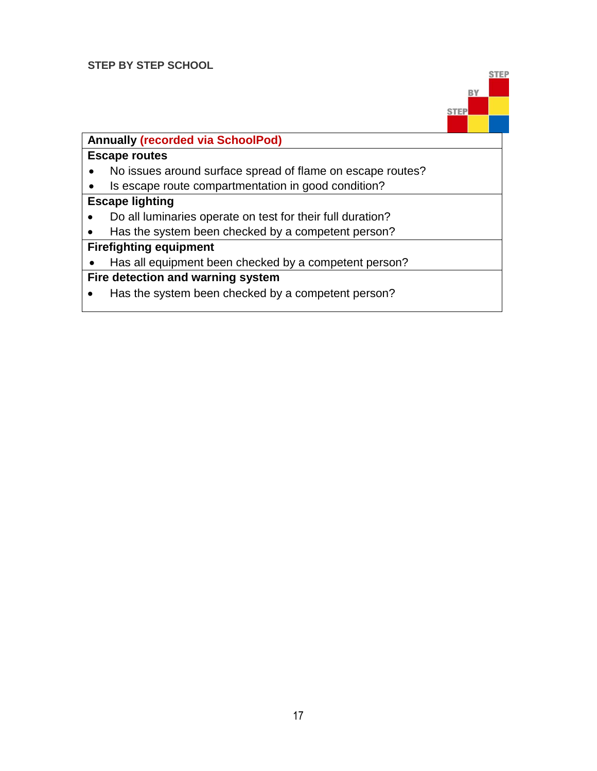

# **Annually (recorded via SchoolPod)**

#### **Escape routes**

- No issues around surface spread of flame on escape routes?
- Is escape route compartmentation in good condition?

#### **Escape lighting**

- Do all luminaries operate on test for their full duration?
- Has the system been checked by a competent person?

## **Firefighting equipment**

• Has all equipment been checked by a competent person?

# **Fire detection and warning system**

• Has the system been checked by a competent person?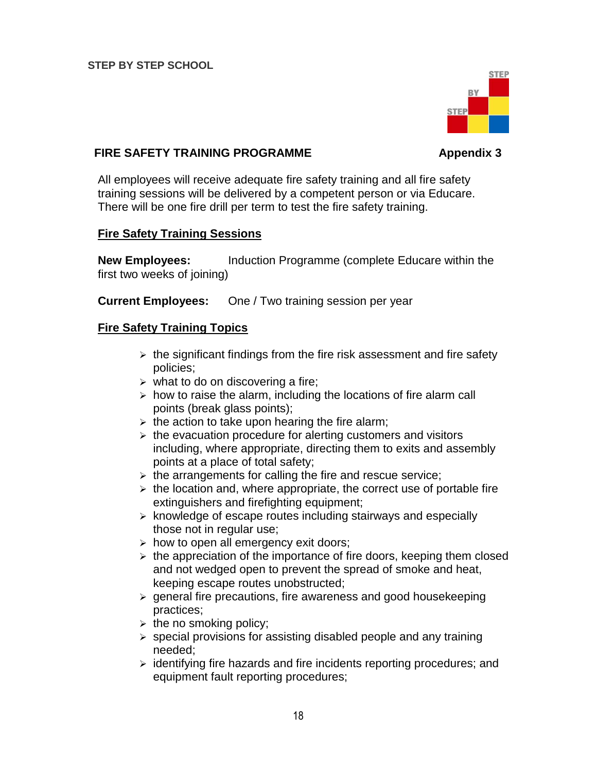

## **FIRE SAFETY TRAINING PROGRAMME Appendix 3**

All employees will receive adequate fire safety training and all fire safety training sessions will be delivered by a competent person or via Educare. There will be one fire drill per term to test the fire safety training.

## **Fire Safety Training Sessions**

**New Employees:** Induction Programme (complete Educare within the first two weeks of joining)

**Current Employees:** One / Two training session per year

## **Fire Safety Training Topics**

- $\triangleright$  the significant findings from the fire risk assessment and fire safety policies;
- $\triangleright$  what to do on discovering a fire;
- $\triangleright$  how to raise the alarm, including the locations of fire alarm call points (break glass points);
- $\triangleright$  the action to take upon hearing the fire alarm;
- $\triangleright$  the evacuation procedure for alerting customers and visitors including, where appropriate, directing them to exits and assembly points at a place of total safety;
- $\triangleright$  the arrangements for calling the fire and rescue service;
- $\triangleright$  the location and, where appropriate, the correct use of portable fire extinguishers and firefighting equipment;
- $\triangleright$  knowledge of escape routes including stairways and especially those not in regular use;
- $\triangleright$  how to open all emergency exit doors;
- $\triangleright$  the appreciation of the importance of fire doors, keeping them closed and not wedged open to prevent the spread of smoke and heat, keeping escape routes unobstructed;
- $\triangleright$  general fire precautions, fire awareness and good housekeeping practices;
- $\triangleright$  the no smoking policy;
- $\triangleright$  special provisions for assisting disabled people and any training needed;
- $\triangleright$  identifying fire hazards and fire incidents reporting procedures; and equipment fault reporting procedures;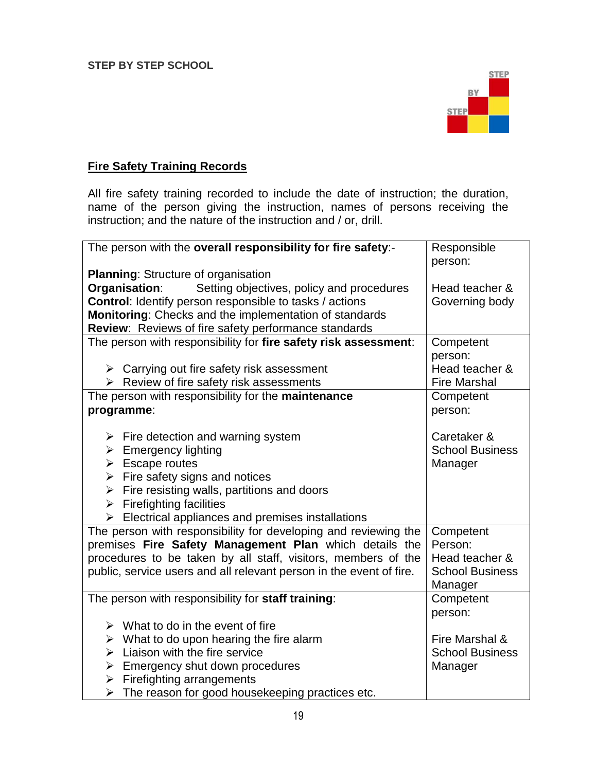

# **Fire Safety Training Records**

All fire safety training recorded to include the date of instruction; the duration, name of the person giving the instruction, names of persons receiving the instruction; and the nature of the instruction and / or, drill.

| The person with the overall responsibility for fire safety:-        | Responsible            |
|---------------------------------------------------------------------|------------------------|
|                                                                     | person:                |
| <b>Planning: Structure of organisation</b>                          |                        |
| Organisation:<br>Setting objectives, policy and procedures          | Head teacher &         |
| <b>Control:</b> Identify person responsible to tasks / actions      | Governing body         |
| Monitoring: Checks and the implementation of standards              |                        |
| Review: Reviews of fire safety performance standards                |                        |
| The person with responsibility for fire safety risk assessment:     | Competent              |
|                                                                     | person:                |
| $\triangleright$ Carrying out fire safety risk assessment           | Head teacher &         |
| $\triangleright$ Review of fire safety risk assessments             | <b>Fire Marshal</b>    |
| The person with responsibility for the maintenance                  | Competent              |
| programme:                                                          | person:                |
|                                                                     |                        |
| $\triangleright$ Fire detection and warning system                  | Caretaker &            |
| $\triangleright$ Emergency lighting                                 | <b>School Business</b> |
| $\triangleright$ Escape routes                                      | Manager                |
| $\triangleright$ Fire safety signs and notices                      |                        |
| $\triangleright$ Fire resisting walls, partitions and doors         |                        |
| $\triangleright$ Firefighting facilities                            |                        |
| $\triangleright$ Electrical appliances and premises installations   |                        |
| The person with responsibility for developing and reviewing the     | Competent              |
| premises Fire Safety Management Plan which details the              | Person:                |
| procedures to be taken by all staff, visitors, members of the       | Head teacher &         |
| public, service users and all relevant person in the event of fire. | <b>School Business</b> |
|                                                                     | Manager                |
| The person with responsibility for staff training:                  | Competent              |
|                                                                     | person:                |
| $\triangleright$ What to do in the event of fire                    |                        |
| $\triangleright$ What to do upon hearing the fire alarm             | Fire Marshal &         |
| $\triangleright$ Liaison with the fire service                      | <b>School Business</b> |
| $\triangleright$ Emergency shut down procedures                     | Manager                |
| $\triangleright$ Firefighting arrangements                          |                        |
| $\triangleright$ The reason for good housekeeping practices etc.    |                        |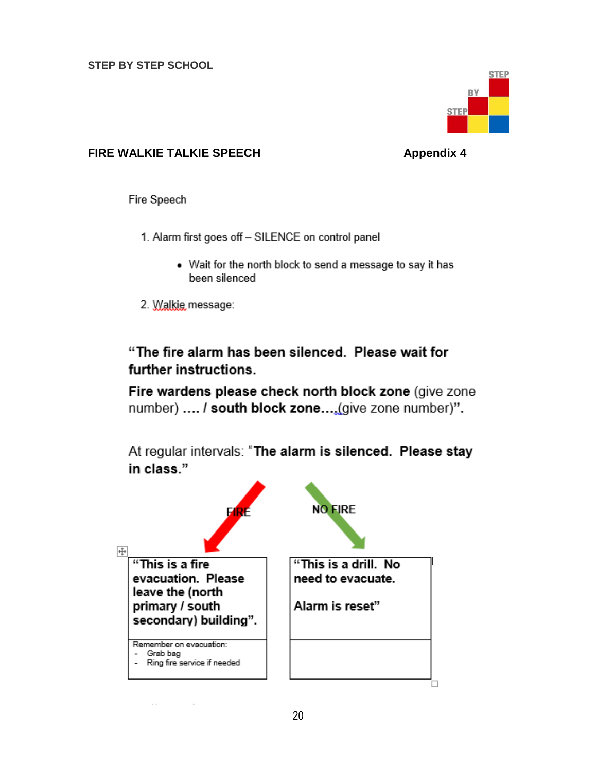

## **FIRE WALKIE TALKIE SPEECH Appendix 4**

Fire Speech

- 1. Alarm first goes off SILENCE on control panel
	- . Wait for the north block to send a message to say it has been silenced
- 2. Walkie message:

"The fire alarm has been silenced. Please wait for further instructions.

Fire wardens please check north block zone (give zone number) .... / south block zone....(give zone number)".

At regular intervals: "The alarm is silenced. Please stay in class."